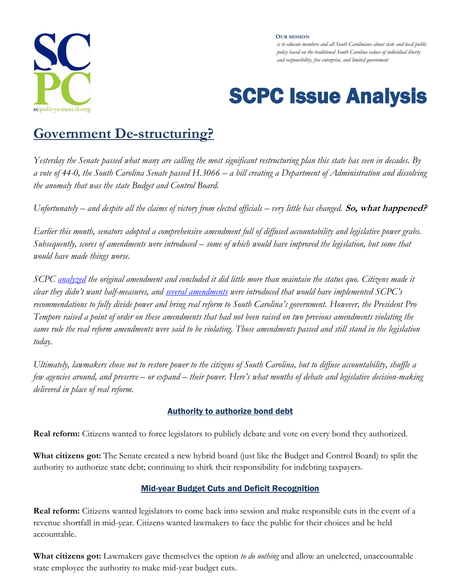

#### **OUR MISSION**

*is to educate members and all South Carolinians about state and local public policy based on the traditional South Carolina values of individual liberty and responsibility, free enterprise, and limited government*

# SCPC Issue Analysis

## **Government De-structuring?**

*Yesterday the Senate passed what many are calling the most significant restructuring plan this state has seen in decades. By a vote of 44-0, the South Carolina Senate passed H.3066 – a bill creating a Department of Administration and dissolving the anomaly that was the state Budget and Control Board.* 

Unfortunately – and despite all the claims of victory from elected officials – very little has changed. **So, what happened?** 

*Earlier this month, senators adopted a comprehensive amendment full of diffused accountability and legislative power grabs. Subsequently, scores of amendments were introduced – some of which would have improved the legislation, but some that would have made things worse.* 

*SCPC [analyzed](http://www.scpolicycouncil.org/commentary/government-restructuring-reform-or-status-quo) the original amendment and concluded it did little more than maintain the status quo. Citizens made it clear they didn't want half-measures, and [several amendments](http://www.scpolicycouncil.org/wp-content/uploads/2012/01/Restructuring-update-01-20-12.pdf) were introduced that would have implemented SCPC's recommendations to fully divide power and bring real reform to South Carolina's government. However, the President Pro Tempore raised a point of order on these amendments that had not been raised on two previous amendments violating the same rule the real reform amendments were said to be violating. Those amendments passed and still stand in the legislation today.* 

*Ultimately, lawmakers chose not to restore power to the citizens of South Carolina, but to diffuse accountability, shuffle a few agencies around, and preserve – or expand – their power. Here's what months of debate and legislative decision-making delivered in place of real reform.*

### Authority to authorize bond debt

**Real reform:** Citizens wanted to force legislators to publicly debate and vote on every bond they authorized.

**What citizens got:** The Senate created a new hybrid board (just like the Budget and Control Board) to split the authority to authorize state debt; continuing to shirk their responsibility for indebting taxpayers.

### Mid-year Budget Cuts and Deficit Recognition

**Real reform:** Citizens wanted legislators to come back into session and make responsible cuts in the event of a revenue shortfall in mid-year. Citizens wanted lawmakers to face the public for their choices and be held accountable.

**What citizens got:** Lawmakers gave themselves the option *to do nothing* and allow an unelected, unaccountable state employee the authority to make mid-year budget cuts.